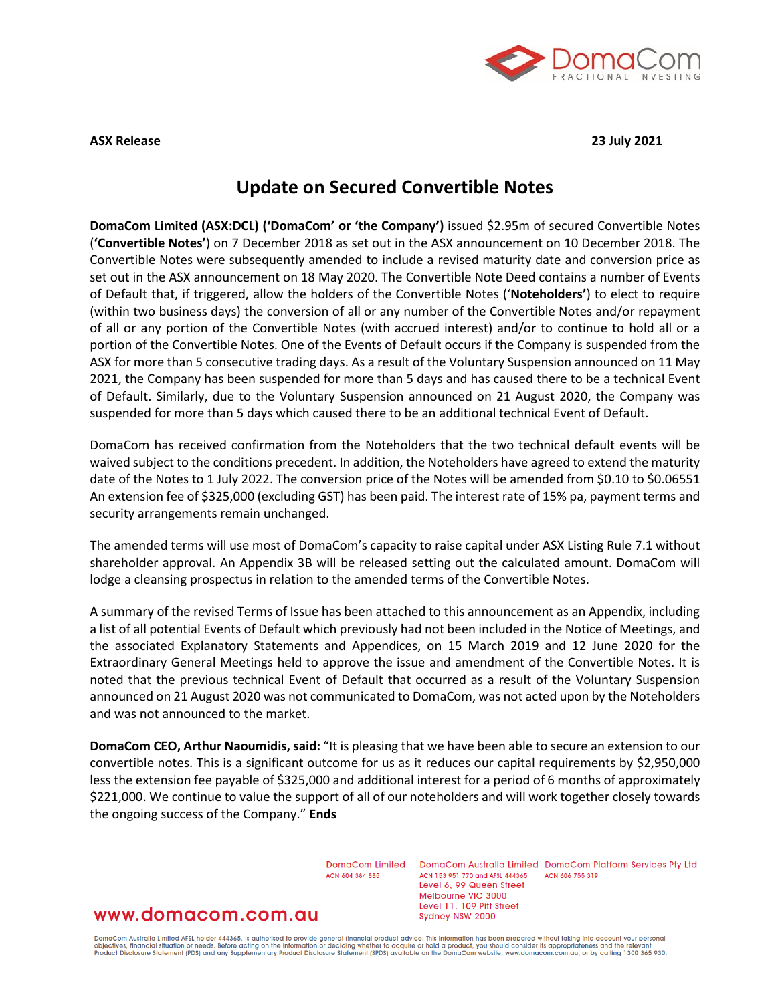

**ASX Release 23 July 2021**

# **Update on Secured Convertible Notes**

**DomaCom Limited (ASX:DCL) ('DomaCom' or 'the Company')** issued \$2.95m of secured Convertible Notes (**'Convertible Notes'**) on 7 December 2018 as set out in the ASX announcement on 10 December 2018. The Convertible Notes were subsequently amended to include a revised maturity date and conversion price as set out in the ASX announcement on 18 May 2020. The Convertible Note Deed contains a number of Events of Default that, if triggered, allow the holders of the Convertible Notes ('**Noteholders'**) to elect to require (within two business days) the conversion of all or any number of the Convertible Notes and/or repayment of all or any portion of the Convertible Notes (with accrued interest) and/or to continue to hold all or a portion of the Convertible Notes. One of the Events of Default occurs if the Company is suspended from the ASX for more than 5 consecutive trading days. As a result of the Voluntary Suspension announced on 11 May 2021, the Company has been suspended for more than 5 days and has caused there to be a technical Event of Default. Similarly, due to the Voluntary Suspension announced on 21 August 2020, the Company was suspended for more than 5 days which caused there to be an additional technical Event of Default.

DomaCom has received confirmation from the Noteholders that the two technical default events will be waived subject to the conditions precedent. In addition, the Noteholders have agreed to extend the maturity date of the Notes to 1 July 2022. The conversion price of the Notes will be amended from \$0.10 to \$0.06551 An extension fee of \$325,000 (excluding GST) has been paid. The interest rate of 15% pa, payment terms and security arrangements remain unchanged.

The amended terms will use most of DomaCom's capacity to raise capital under ASX Listing Rule 7.1 without shareholder approval. An Appendix 3B will be released setting out the calculated amount. DomaCom will lodge a cleansing prospectus in relation to the amended terms of the Convertible Notes.

A summary of the revised Terms of Issue has been attached to this announcement as an Appendix, including a list of all potential Events of Default which previously had not been included in the Notice of Meetings, and the associated Explanatory Statements and Appendices, on 15 March 2019 and 12 June 2020 for the Extraordinary General Meetings held to approve the issue and amendment of the Convertible Notes. It is noted that the previous technical Event of Default that occurred as a result of the Voluntary Suspension announced on 21 August 2020 was not communicated to DomaCom, was not acted upon by the Noteholders and was not announced to the market.

**DomaCom CEO, Arthur Naoumidis, said:** "It is pleasing that we have been able to secure an extension to our convertible notes. This is a significant outcome for us as it reduces our capital requirements by \$2,950,000 less the extension fee payable of \$325,000 and additional interest for a period of 6 months of approximately \$221,000. We continue to value the support of all of our noteholders and will work together closely towards the ongoing success of the Company." **Ends**

ACN 604 384 885

DomaCom Limited DomaCom Australia Limited DomaCom Platform Services Pty Ltd ACN 153 951 770 and AFSL 444365 ACN 606 755 319 Level 6, 99 Queen Street Melbourne VIC 3000 Level 11, 109 Pitt Street Sydney NSW 2000

### www.domacom.com.au

DomaCom Australia Limited AFSL holder 444365, is authorised to provide general financial product advice. This information has been prepared without taking into account your personal<br>objectives, financial situation or needs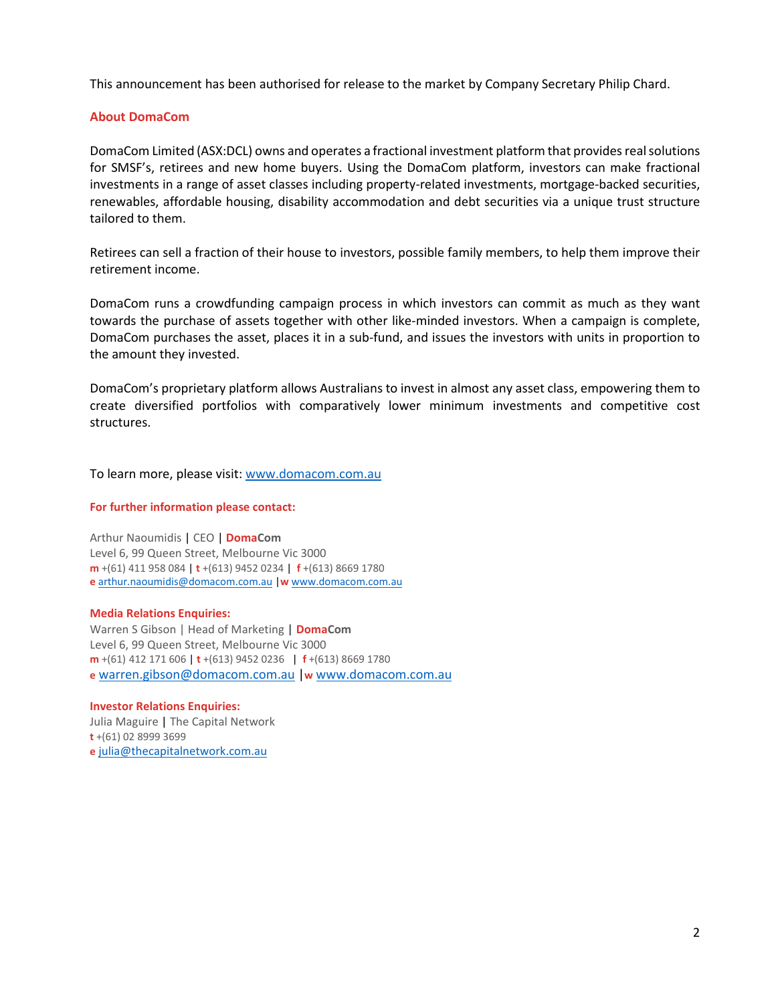This announcement has been authorised for release to the market by Company Secretary Philip Chard.

### **About DomaCom**

DomaCom Limited (ASX:DCL) owns and operates a fractional investment platform that provides real solutions for SMSF's, retirees and new home buyers. Using the DomaCom platform, investors can make fractional investments in a range of asset classes including property-related investments, mortgage-backed securities, renewables, affordable housing, disability accommodation and debt securities via a unique trust structure tailored to them.

Retirees can sell a fraction of their house to investors, possible family members, to help them improve their retirement income.

DomaCom runs a crowdfunding campaign process in which investors can commit as much as they want towards the purchase of assets together with other like-minded investors. When a campaign is complete, DomaCom purchases the asset, places it in a sub-fund, and issues the investors with units in proportion to the amount they invested.

DomaCom's proprietary platform allows Australians to invest in almost any asset class, empowering them to create diversified portfolios with comparatively lower minimum investments and competitive cost structures.

To learn more, please visit: [www.domacom.com.au](http://www.domacom.com.au/)

#### **For further information please contact:**

Arthur Naoumidis | CEO | **DomaCom** Level 6, 99 Queen Street, Melbourne Vic 3000 **m** +(61) 411 958 084 | **t** +(613) 9452 0234 | **f** +(613) 8669 1780 **e** [arthur.naoumidis@domacom.com.au](mailto:arthur.naoumidis@domacom.com.au) |**w** [www.domacom.com.au](http://www.domacom.com.au/)

#### **Media Relations Enquiries:**

Warren S Gibson | Head of Marketing **| DomaCom** Level 6, 99 Queen Street, Melbourne Vic 3000 **m** +(61) 412 171 606 | **t** +(613) 9452 0236 | **f** +(613) 8669 1780 **e** [warren.gibson@domacom.com.au](mailto:warren.gibson@domacom.com.au) |**w** [www.domacom.com.au](http://www.domacom.com.au/)

#### **Investor Relations Enquiries:**

Julia Maguire | The Capital Network **t** +(61) 02 8999 3699 **e** [julia@thecapitalnetwork.com.au](mailto:julia@thecapitalnetwork.com.au)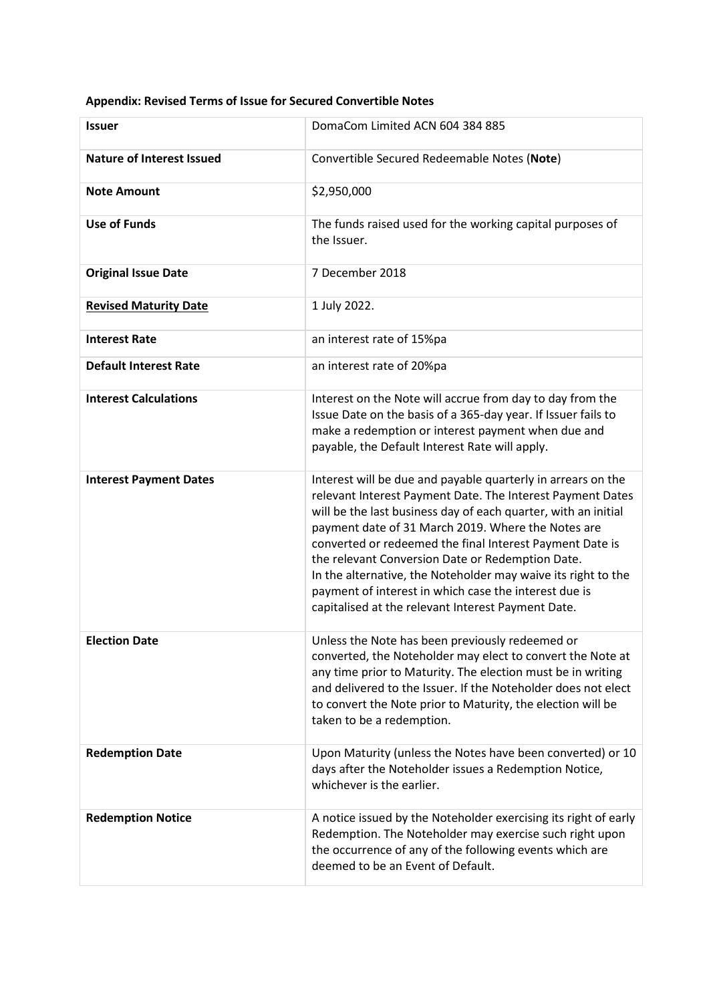| <b>Issuer</b>                    | DomaCom Limited ACN 604 384 885                                                                                                                                                                                                                                                                                                                                                                                                                                                                                                                    |
|----------------------------------|----------------------------------------------------------------------------------------------------------------------------------------------------------------------------------------------------------------------------------------------------------------------------------------------------------------------------------------------------------------------------------------------------------------------------------------------------------------------------------------------------------------------------------------------------|
| <b>Nature of Interest Issued</b> | Convertible Secured Redeemable Notes (Note)                                                                                                                                                                                                                                                                                                                                                                                                                                                                                                        |
| <b>Note Amount</b>               | \$2,950,000                                                                                                                                                                                                                                                                                                                                                                                                                                                                                                                                        |
| <b>Use of Funds</b>              | The funds raised used for the working capital purposes of<br>the Issuer.                                                                                                                                                                                                                                                                                                                                                                                                                                                                           |
| <b>Original Issue Date</b>       | 7 December 2018                                                                                                                                                                                                                                                                                                                                                                                                                                                                                                                                    |
| <b>Revised Maturity Date</b>     | 1 July 2022.                                                                                                                                                                                                                                                                                                                                                                                                                                                                                                                                       |
| <b>Interest Rate</b>             | an interest rate of 15%pa                                                                                                                                                                                                                                                                                                                                                                                                                                                                                                                          |
| <b>Default Interest Rate</b>     | an interest rate of 20%pa                                                                                                                                                                                                                                                                                                                                                                                                                                                                                                                          |
| <b>Interest Calculations</b>     | Interest on the Note will accrue from day to day from the<br>Issue Date on the basis of a 365-day year. If Issuer fails to<br>make a redemption or interest payment when due and<br>payable, the Default Interest Rate will apply.                                                                                                                                                                                                                                                                                                                 |
| <b>Interest Payment Dates</b>    | Interest will be due and payable quarterly in arrears on the<br>relevant Interest Payment Date. The Interest Payment Dates<br>will be the last business day of each quarter, with an initial<br>payment date of 31 March 2019. Where the Notes are<br>converted or redeemed the final Interest Payment Date is<br>the relevant Conversion Date or Redemption Date.<br>In the alternative, the Noteholder may waive its right to the<br>payment of interest in which case the interest due is<br>capitalised at the relevant Interest Payment Date. |
| <b>Election Date</b>             | Unless the Note has been previously redeemed or<br>converted, the Noteholder may elect to convert the Note at<br>any time prior to Maturity. The election must be in writing<br>and delivered to the Issuer. If the Noteholder does not elect<br>to convert the Note prior to Maturity, the election will be<br>taken to be a redemption.                                                                                                                                                                                                          |
| <b>Redemption Date</b>           | Upon Maturity (unless the Notes have been converted) or 10<br>days after the Noteholder issues a Redemption Notice,<br>whichever is the earlier.                                                                                                                                                                                                                                                                                                                                                                                                   |
| <b>Redemption Notice</b>         | A notice issued by the Noteholder exercising its right of early<br>Redemption. The Noteholder may exercise such right upon<br>the occurrence of any of the following events which are<br>deemed to be an Event of Default.                                                                                                                                                                                                                                                                                                                         |

## **Appendix: Revised Terms of Issue for Secured Convertible Notes**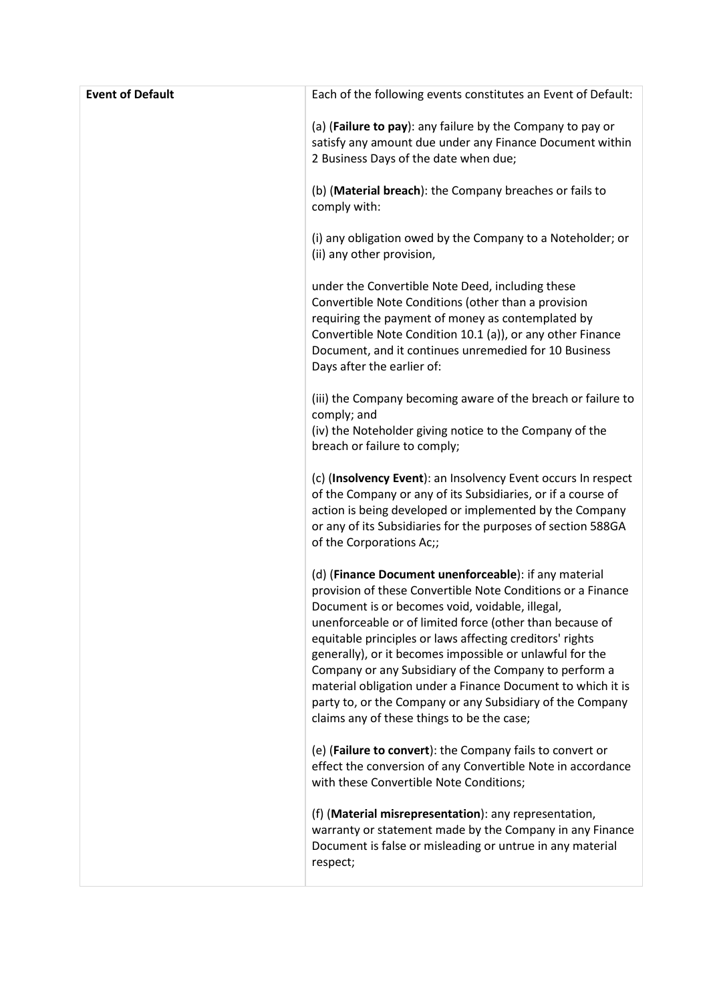| (a) (Failure to pay): any failure by the Company to pay or<br>satisfy any amount due under any Finance Document within<br>2 Business Days of the date when due;<br>(b) (Material breach): the Company breaches or fails to<br>comply with:<br>(i) any obligation owed by the Company to a Noteholder; or<br>(ii) any other provision,<br>under the Convertible Note Deed, including these<br>Convertible Note Conditions (other than a provision<br>requiring the payment of money as contemplated by<br>Convertible Note Condition 10.1 (a)), or any other Finance<br>Document, and it continues unremedied for 10 Business<br>Days after the earlier of:<br>(iii) the Company becoming aware of the breach or failure to<br>comply; and<br>(iv) the Noteholder giving notice to the Company of the<br>breach or failure to comply;<br>(c) (Insolvency Event): an Insolvency Event occurs In respect<br>of the Company or any of its Subsidiaries, or if a course of<br>action is being developed or implemented by the Company<br>or any of its Subsidiaries for the purposes of section 588GA<br>of the Corporations Ac;;<br>(d) (Finance Document unenforceable): if any material<br>provision of these Convertible Note Conditions or a Finance<br>Document is or becomes void, voidable, illegal,<br>unenforceable or of limited force (other than because of<br>equitable principles or laws affecting creditors' rights<br>generally), or it becomes impossible or unlawful for the<br>Company or any Subsidiary of the Company to perform a<br>material obligation under a Finance Document to which it is<br>party to, or the Company or any Subsidiary of the Company<br>claims any of these things to be the case;<br>(e) (Failure to convert): the Company fails to convert or<br>effect the conversion of any Convertible Note in accordance<br>with these Convertible Note Conditions;<br>(f) (Material misrepresentation): any representation,<br>warranty or statement made by the Company in any Finance<br>Document is false or misleading or untrue in any material<br>respect; | <b>Event of Default</b> | Each of the following events constitutes an Event of Default: |
|-----------------------------------------------------------------------------------------------------------------------------------------------------------------------------------------------------------------------------------------------------------------------------------------------------------------------------------------------------------------------------------------------------------------------------------------------------------------------------------------------------------------------------------------------------------------------------------------------------------------------------------------------------------------------------------------------------------------------------------------------------------------------------------------------------------------------------------------------------------------------------------------------------------------------------------------------------------------------------------------------------------------------------------------------------------------------------------------------------------------------------------------------------------------------------------------------------------------------------------------------------------------------------------------------------------------------------------------------------------------------------------------------------------------------------------------------------------------------------------------------------------------------------------------------------------------------------------------------------------------------------------------------------------------------------------------------------------------------------------------------------------------------------------------------------------------------------------------------------------------------------------------------------------------------------------------------------------------------------------------------------------------------------------------------------------------------------------------------------|-------------------------|---------------------------------------------------------------|
|                                                                                                                                                                                                                                                                                                                                                                                                                                                                                                                                                                                                                                                                                                                                                                                                                                                                                                                                                                                                                                                                                                                                                                                                                                                                                                                                                                                                                                                                                                                                                                                                                                                                                                                                                                                                                                                                                                                                                                                                                                                                                                     |                         |                                                               |
|                                                                                                                                                                                                                                                                                                                                                                                                                                                                                                                                                                                                                                                                                                                                                                                                                                                                                                                                                                                                                                                                                                                                                                                                                                                                                                                                                                                                                                                                                                                                                                                                                                                                                                                                                                                                                                                                                                                                                                                                                                                                                                     |                         |                                                               |
|                                                                                                                                                                                                                                                                                                                                                                                                                                                                                                                                                                                                                                                                                                                                                                                                                                                                                                                                                                                                                                                                                                                                                                                                                                                                                                                                                                                                                                                                                                                                                                                                                                                                                                                                                                                                                                                                                                                                                                                                                                                                                                     |                         |                                                               |
|                                                                                                                                                                                                                                                                                                                                                                                                                                                                                                                                                                                                                                                                                                                                                                                                                                                                                                                                                                                                                                                                                                                                                                                                                                                                                                                                                                                                                                                                                                                                                                                                                                                                                                                                                                                                                                                                                                                                                                                                                                                                                                     |                         |                                                               |
|                                                                                                                                                                                                                                                                                                                                                                                                                                                                                                                                                                                                                                                                                                                                                                                                                                                                                                                                                                                                                                                                                                                                                                                                                                                                                                                                                                                                                                                                                                                                                                                                                                                                                                                                                                                                                                                                                                                                                                                                                                                                                                     |                         |                                                               |
|                                                                                                                                                                                                                                                                                                                                                                                                                                                                                                                                                                                                                                                                                                                                                                                                                                                                                                                                                                                                                                                                                                                                                                                                                                                                                                                                                                                                                                                                                                                                                                                                                                                                                                                                                                                                                                                                                                                                                                                                                                                                                                     |                         |                                                               |
|                                                                                                                                                                                                                                                                                                                                                                                                                                                                                                                                                                                                                                                                                                                                                                                                                                                                                                                                                                                                                                                                                                                                                                                                                                                                                                                                                                                                                                                                                                                                                                                                                                                                                                                                                                                                                                                                                                                                                                                                                                                                                                     |                         |                                                               |
|                                                                                                                                                                                                                                                                                                                                                                                                                                                                                                                                                                                                                                                                                                                                                                                                                                                                                                                                                                                                                                                                                                                                                                                                                                                                                                                                                                                                                                                                                                                                                                                                                                                                                                                                                                                                                                                                                                                                                                                                                                                                                                     |                         |                                                               |
|                                                                                                                                                                                                                                                                                                                                                                                                                                                                                                                                                                                                                                                                                                                                                                                                                                                                                                                                                                                                                                                                                                                                                                                                                                                                                                                                                                                                                                                                                                                                                                                                                                                                                                                                                                                                                                                                                                                                                                                                                                                                                                     |                         |                                                               |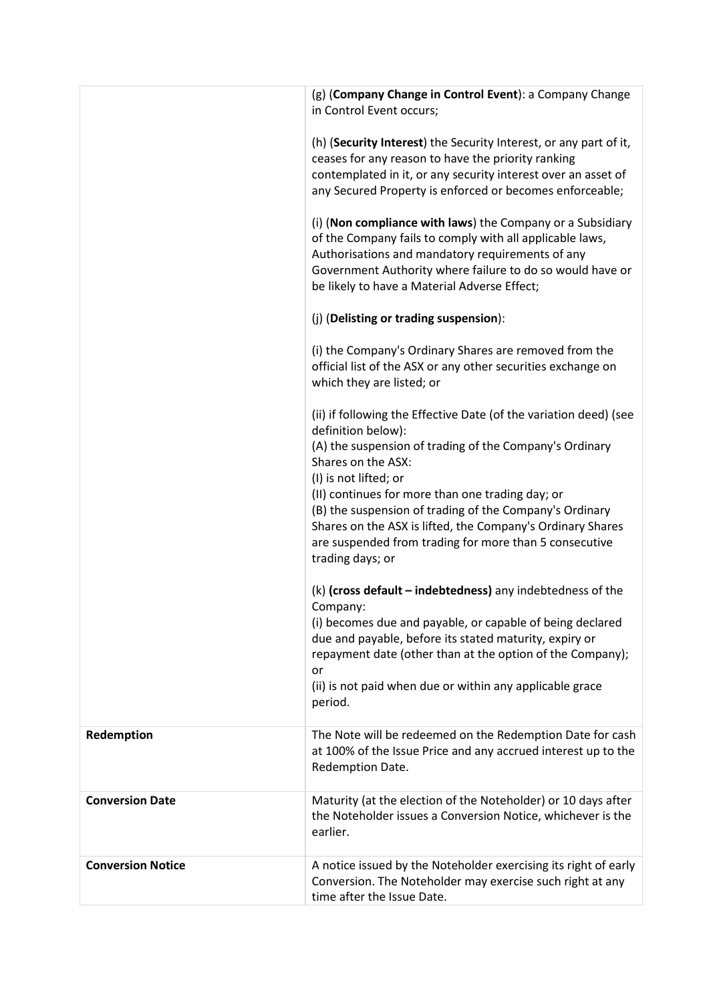|                          | (g) (Company Change in Control Event): a Company Change<br>in Control Event occurs;                                                                                                                                                                                                     |
|--------------------------|-----------------------------------------------------------------------------------------------------------------------------------------------------------------------------------------------------------------------------------------------------------------------------------------|
|                          | (h) (Security Interest) the Security Interest, or any part of it,<br>ceases for any reason to have the priority ranking<br>contemplated in it, or any security interest over an asset of<br>any Secured Property is enforced or becomes enforceable;                                    |
|                          | (i) (Non compliance with laws) the Company or a Subsidiary<br>of the Company fails to comply with all applicable laws,<br>Authorisations and mandatory requirements of any<br>Government Authority where failure to do so would have or<br>be likely to have a Material Adverse Effect; |
|                          | (j) (Delisting or trading suspension):                                                                                                                                                                                                                                                  |
|                          | (i) the Company's Ordinary Shares are removed from the<br>official list of the ASX or any other securities exchange on<br>which they are listed; or                                                                                                                                     |
|                          | (ii) if following the Effective Date (of the variation deed) (see<br>definition below):                                                                                                                                                                                                 |
|                          | (A) the suspension of trading of the Company's Ordinary<br>Shares on the ASX:<br>(I) is not lifted; or                                                                                                                                                                                  |
|                          | (II) continues for more than one trading day; or                                                                                                                                                                                                                                        |
|                          | (B) the suspension of trading of the Company's Ordinary<br>Shares on the ASX is lifted, the Company's Ordinary Shares                                                                                                                                                                   |
|                          | are suspended from trading for more than 5 consecutive<br>trading days; or                                                                                                                                                                                                              |
|                          | $(k)$ (cross default – indebtedness) any indebtedness of the<br>Company:                                                                                                                                                                                                                |
|                          | (i) becomes due and payable, or capable of being declared<br>due and payable, before its stated maturity, expiry or<br>repayment date (other than at the option of the Company);<br>or                                                                                                  |
|                          | (ii) is not paid when due or within any applicable grace<br>period.                                                                                                                                                                                                                     |
| Redemption               | The Note will be redeemed on the Redemption Date for cash<br>at 100% of the Issue Price and any accrued interest up to the<br>Redemption Date.                                                                                                                                          |
| <b>Conversion Date</b>   | Maturity (at the election of the Noteholder) or 10 days after<br>the Noteholder issues a Conversion Notice, whichever is the<br>earlier.                                                                                                                                                |
| <b>Conversion Notice</b> | A notice issued by the Noteholder exercising its right of early<br>Conversion. The Noteholder may exercise such right at any<br>time after the Issue Date.                                                                                                                              |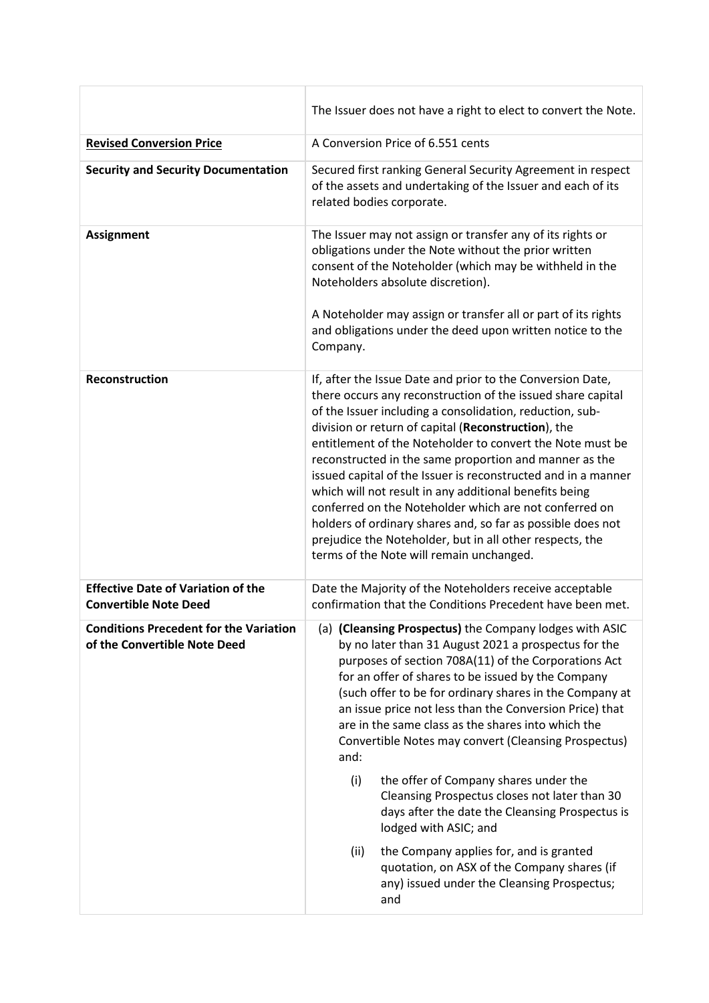|                                                                               | The Issuer does not have a right to elect to convert the Note.                                                                                                                                                                                                                                                                                                                                                                                                                                                                                                                                                                                                                                                                  |
|-------------------------------------------------------------------------------|---------------------------------------------------------------------------------------------------------------------------------------------------------------------------------------------------------------------------------------------------------------------------------------------------------------------------------------------------------------------------------------------------------------------------------------------------------------------------------------------------------------------------------------------------------------------------------------------------------------------------------------------------------------------------------------------------------------------------------|
| <b>Revised Conversion Price</b>                                               | A Conversion Price of 6.551 cents                                                                                                                                                                                                                                                                                                                                                                                                                                                                                                                                                                                                                                                                                               |
| <b>Security and Security Documentation</b>                                    | Secured first ranking General Security Agreement in respect<br>of the assets and undertaking of the Issuer and each of its<br>related bodies corporate.                                                                                                                                                                                                                                                                                                                                                                                                                                                                                                                                                                         |
| <b>Assignment</b>                                                             | The Issuer may not assign or transfer any of its rights or<br>obligations under the Note without the prior written<br>consent of the Noteholder (which may be withheld in the<br>Noteholders absolute discretion).                                                                                                                                                                                                                                                                                                                                                                                                                                                                                                              |
|                                                                               | A Noteholder may assign or transfer all or part of its rights<br>and obligations under the deed upon written notice to the<br>Company.                                                                                                                                                                                                                                                                                                                                                                                                                                                                                                                                                                                          |
| <b>Reconstruction</b>                                                         | If, after the Issue Date and prior to the Conversion Date,<br>there occurs any reconstruction of the issued share capital<br>of the Issuer including a consolidation, reduction, sub-<br>division or return of capital (Reconstruction), the<br>entitlement of the Noteholder to convert the Note must be<br>reconstructed in the same proportion and manner as the<br>issued capital of the Issuer is reconstructed and in a manner<br>which will not result in any additional benefits being<br>conferred on the Noteholder which are not conferred on<br>holders of ordinary shares and, so far as possible does not<br>prejudice the Noteholder, but in all other respects, the<br>terms of the Note will remain unchanged. |
| <b>Effective Date of Variation of the</b><br><b>Convertible Note Deed</b>     | Date the Majority of the Noteholders receive acceptable<br>confirmation that the Conditions Precedent have been met.                                                                                                                                                                                                                                                                                                                                                                                                                                                                                                                                                                                                            |
| <b>Conditions Precedent for the Variation</b><br>of the Convertible Note Deed | (a) (Cleansing Prospectus) the Company lodges with ASIC<br>by no later than 31 August 2021 a prospectus for the<br>purposes of section 708A(11) of the Corporations Act<br>for an offer of shares to be issued by the Company<br>(such offer to be for ordinary shares in the Company at<br>an issue price not less than the Conversion Price) that<br>are in the same class as the shares into which the<br>Convertible Notes may convert (Cleansing Prospectus)<br>and:                                                                                                                                                                                                                                                       |
|                                                                               | (i)<br>the offer of Company shares under the<br>Cleansing Prospectus closes not later than 30<br>days after the date the Cleansing Prospectus is<br>lodged with ASIC; and                                                                                                                                                                                                                                                                                                                                                                                                                                                                                                                                                       |
|                                                                               | the Company applies for, and is granted<br>(ii)<br>quotation, on ASX of the Company shares (if<br>any) issued under the Cleansing Prospectus;<br>and                                                                                                                                                                                                                                                                                                                                                                                                                                                                                                                                                                            |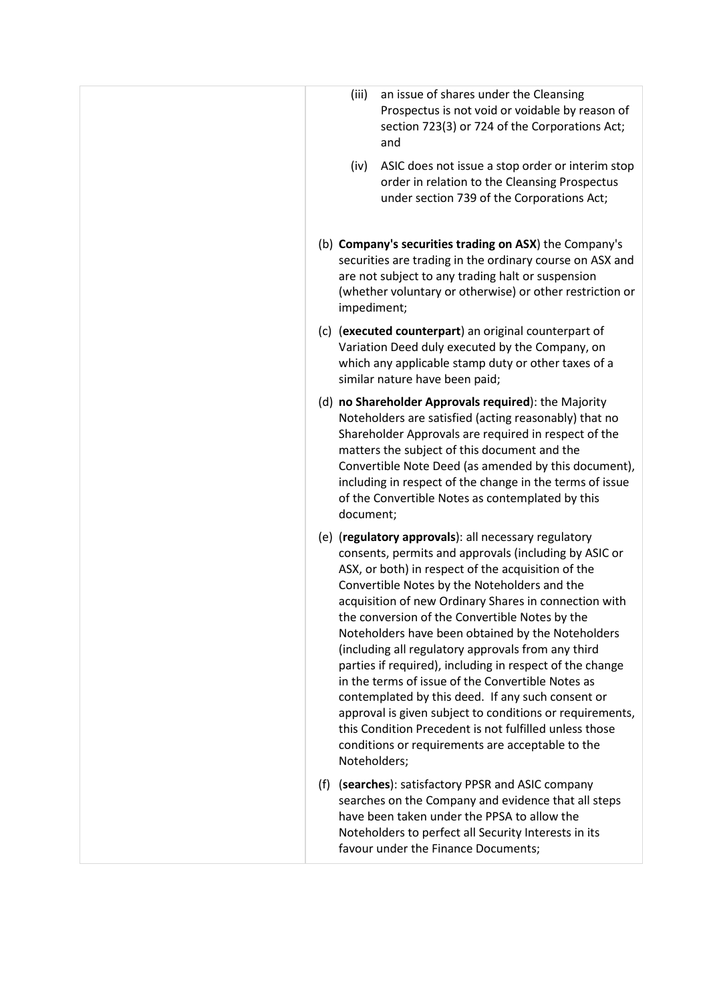| (iii)<br>an issue of shares under the Cleansing<br>Prospectus is not void or voidable by reason of<br>section 723(3) or 724 of the Corporations Act;<br>and<br>ASIC does not issue a stop order or interim stop<br>(iv)<br>order in relation to the Cleansing Prospectus                                                                                                                                                                                                                                                                                                                                                                                                                                                                                                                                  |
|-----------------------------------------------------------------------------------------------------------------------------------------------------------------------------------------------------------------------------------------------------------------------------------------------------------------------------------------------------------------------------------------------------------------------------------------------------------------------------------------------------------------------------------------------------------------------------------------------------------------------------------------------------------------------------------------------------------------------------------------------------------------------------------------------------------|
| under section 739 of the Corporations Act;<br>(b) Company's securities trading on ASX) the Company's<br>securities are trading in the ordinary course on ASX and<br>are not subject to any trading halt or suspension<br>(whether voluntary or otherwise) or other restriction or                                                                                                                                                                                                                                                                                                                                                                                                                                                                                                                         |
| impediment;<br>(c) (executed counterpart) an original counterpart of<br>Variation Deed duly executed by the Company, on<br>which any applicable stamp duty or other taxes of a<br>similar nature have been paid;                                                                                                                                                                                                                                                                                                                                                                                                                                                                                                                                                                                          |
| (d) no Shareholder Approvals required): the Majority<br>Noteholders are satisfied (acting reasonably) that no<br>Shareholder Approvals are required in respect of the<br>matters the subject of this document and the<br>Convertible Note Deed (as amended by this document),<br>including in respect of the change in the terms of issue<br>of the Convertible Notes as contemplated by this<br>document;                                                                                                                                                                                                                                                                                                                                                                                                |
| (e) (regulatory approvals): all necessary regulatory<br>consents, permits and approvals (including by ASIC or<br>ASX, or both) in respect of the acquisition of the<br>Convertible Notes by the Noteholders and the<br>acquisition of new Ordinary Shares in connection with<br>the conversion of the Convertible Notes by the<br>Noteholders have been obtained by the Noteholders<br>(including all regulatory approvals from any third<br>parties if required), including in respect of the change<br>in the terms of issue of the Convertible Notes as<br>contemplated by this deed. If any such consent or<br>approval is given subject to conditions or requirements,<br>this Condition Precedent is not fulfilled unless those<br>conditions or requirements are acceptable to the<br>Noteholders; |
| (f) (searches): satisfactory PPSR and ASIC company<br>searches on the Company and evidence that all steps<br>have been taken under the PPSA to allow the<br>Noteholders to perfect all Security Interests in its<br>favour under the Finance Documents;                                                                                                                                                                                                                                                                                                                                                                                                                                                                                                                                                   |